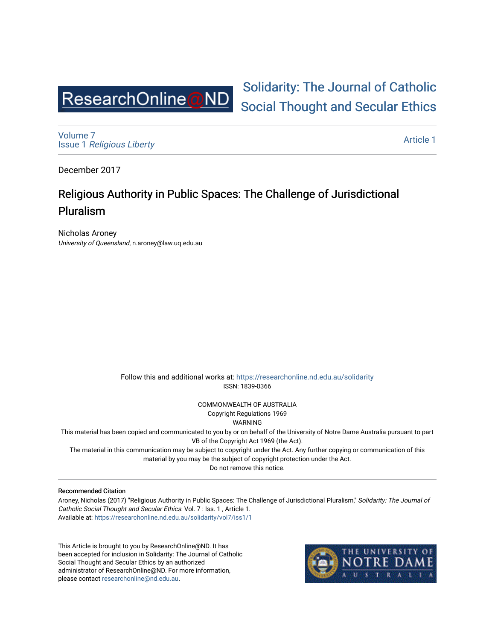

[Volume 7](https://researchonline.nd.edu.au/solidarity/vol7) Issue 1 [Religious Liberty](https://researchonline.nd.edu.au/solidarity/vol7/iss1) 

[Article 1](https://researchonline.nd.edu.au/solidarity/vol7/iss1/1) 

[Solidarity: The Journal of Catholic](https://researchonline.nd.edu.au/solidarity) 

[Social Thought and Secular Ethics](https://researchonline.nd.edu.au/solidarity) 

December 2017

# Religious Authority in Public Spaces: The Challenge of Jurisdictional Pluralism

Nicholas Aroney University of Queensland, n.aroney@law.uq.edu.au

> Follow this and additional works at: [https://researchonline.nd.edu.au/solidarity](https://researchonline.nd.edu.au/solidarity?utm_source=researchonline.nd.edu.au%2Fsolidarity%2Fvol7%2Fiss1%2F1&utm_medium=PDF&utm_campaign=PDFCoverPages)  ISSN: 1839-0366

> > COMMONWEALTH OF AUSTRALIA Copyright Regulations 1969

WARNING

This material has been copied and communicated to you by or on behalf of the University of Notre Dame Australia pursuant to part VB of the Copyright Act 1969 (the Act).

The material in this communication may be subject to copyright under the Act. Any further copying or communication of this material by you may be the subject of copyright protection under the Act.

Do not remove this notice.

#### Recommended Citation

Aroney, Nicholas (2017) "Religious Authority in Public Spaces: The Challenge of Jurisdictional Pluralism," Solidarity: The Journal of Catholic Social Thought and Secular Ethics: Vol. 7 : Iss. 1 , Article 1. Available at: [https://researchonline.nd.edu.au/solidarity/vol7/iss1/1](https://researchonline.nd.edu.au/solidarity/vol7/iss1/1?utm_source=researchonline.nd.edu.au%2Fsolidarity%2Fvol7%2Fiss1%2F1&utm_medium=PDF&utm_campaign=PDFCoverPages) 

This Article is brought to you by ResearchOnline@ND. It has been accepted for inclusion in Solidarity: The Journal of Catholic Social Thought and Secular Ethics by an authorized administrator of ResearchOnline@ND. For more information, please contact [researchonline@nd.edu.au.](mailto:researchonline@nd.edu.au)

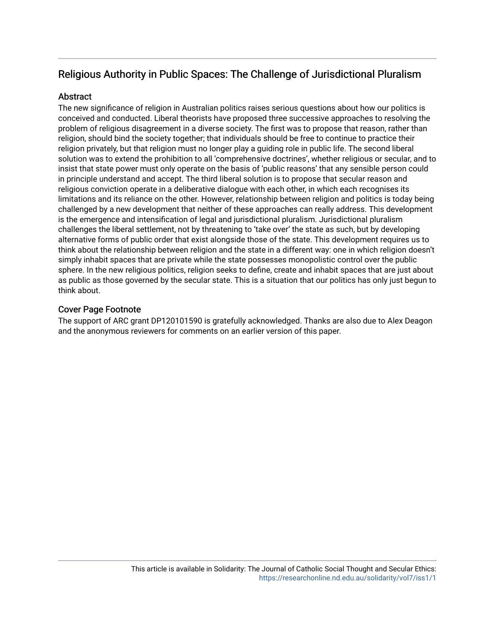## Religious Authority in Public Spaces: The Challenge of Jurisdictional Pluralism

### **Abstract**

The new significance of religion in Australian politics raises serious questions about how our politics is conceived and conducted. Liberal theorists have proposed three successive approaches to resolving the problem of religious disagreement in a diverse society. The first was to propose that reason, rather than religion, should bind the society together; that individuals should be free to continue to practice their religion privately, but that religion must no longer play a guiding role in public life. The second liberal solution was to extend the prohibition to all 'comprehensive doctrines', whether religious or secular, and to insist that state power must only operate on the basis of 'public reasons' that any sensible person could in principle understand and accept. The third liberal solution is to propose that secular reason and religious conviction operate in a deliberative dialogue with each other, in which each recognises its limitations and its reliance on the other. However, relationship between religion and politics is today being challenged by a new development that neither of these approaches can really address. This development is the emergence and intensification of legal and jurisdictional pluralism. Jurisdictional pluralism challenges the liberal settlement, not by threatening to 'take over' the state as such, but by developing alternative forms of public order that exist alongside those of the state. This development requires us to think about the relationship between religion and the state in a different way: one in which religion doesn't simply inhabit spaces that are private while the state possesses monopolistic control over the public sphere. In the new religious politics, religion seeks to define, create and inhabit spaces that are just about as public as those governed by the secular state. This is a situation that our politics has only just begun to think about.

### Cover Page Footnote

The support of ARC grant DP120101590 is gratefully acknowledged. Thanks are also due to Alex Deagon and the anonymous reviewers for comments on an earlier version of this paper.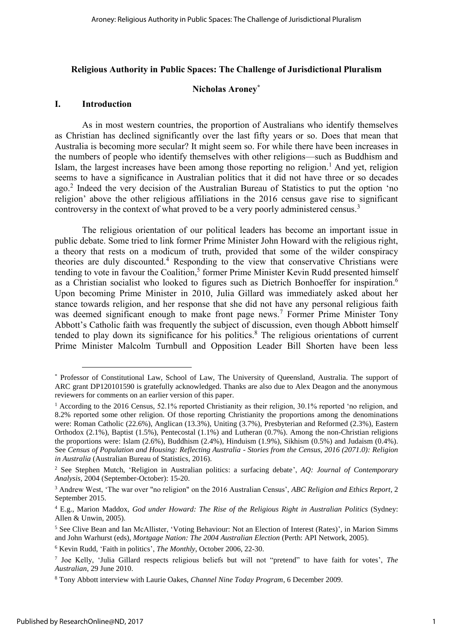#### Religious Authority in Public Spaces: The Challenge of Jurisdictional Pluralism

#### Nicholas Aroney\*

#### I. Introduction

As in most western countries, the proportion of Australians who identify themselves as Christian has declined significantly over the last fifty years or so. Does that mean that Australia is becoming more secular? It might seem so. For while there have been increases in the numbers of people who identify themselves with other religions—such as Buddhism and Islam, the largest increases have been among those reporting no religion.<sup>1</sup> And yet, religion seems to have a significance in Australian politics that it did not have three or so decades ago.<sup>2</sup> Indeed the very decision of the Australian Bureau of Statistics to put the option 'no religion' above the other religious affiliations in the 2016 census gave rise to significant controversy in the context of what proved to be a very poorly administered census.<sup>3</sup>

The religious orientation of our political leaders has become an important issue in public debate. Some tried to link former Prime Minister John Howard with the religious right, a theory that rests on a modicum of truth, provided that some of the wilder conspiracy theories are duly discounted.<sup>4</sup> Responding to the view that conservative Christians were tending to vote in favour the Coalition,<sup>5</sup> former Prime Minister Kevin Rudd presented himself as a Christian socialist who looked to figures such as Dietrich Bonhoeffer for inspiration.<sup>6</sup> Upon becoming Prime Minister in 2010, Julia Gillard was immediately asked about her stance towards religion, and her response that she did not have any personal religious faith was deemed significant enough to make front page news.<sup>7</sup> Former Prime Minister Tony Abbott's Catholic faith was frequently the subject of discussion, even though Abbott himself tended to play down its significance for his politics. $8$  The religious orientations of current Prime Minister Malcolm Turnbull and Opposition Leader Bill Shorten have been less

<sup>\*</sup> Professor of Constitutional Law, School of Law, The University of Queensland, Australia. The support of ARC grant DP120101590 is gratefully acknowledged. Thanks are also due to Alex Deagon and the anonymous reviewers for comments on an earlier version of this paper.

<sup>1</sup> According to the 2016 Census, 52.1% reported Christianity as their religion, 30.1% reported 'no religion, and 8.2% reported some other religion. Of those reporting Christianity the proportions among the denominations were: Roman Catholic (22.6%), Anglican (13.3%), Uniting (3.7%), Presbyterian and Reformed (2.3%), Eastern Orthodox (2.1%), Baptist (1.5%), Pentecostal (1.1%) and Lutheran (0.7%). Among the non-Christian religions the proportions were: Islam (2.6%), Buddhism (2.4%), Hinduism (1.9%), Sikhism (0.5%) and Judaism (0.4%). See *Census of Population and Housing: Reflecting Australia - Stories from the Census, 2016 (2071.0): Religion in Australia* (Australian Bureau of Statistics, 2016).

<sup>2</sup> See Stephen Mutch, 'Religion in Australian politics: a surfacing debate', *AQ: Journal of Contemporary Analysis*, 2004 (September-October): 15-20.

<sup>3</sup> Andrew West, 'The war over "no religion" on the 2016 Australian Census', *ABC Religion and Ethics Report*, 2 September 2015.

<sup>4</sup> E.g., Marion Maddox, *God under Howard: The Rise of the Religious Right in Australian Politics* (Sydney: Allen & Unwin, 2005).

<sup>5</sup> See Clive Bean and Ian McAllister, 'Voting Behaviour: Not an Election of Interest (Rates)', in Marion Simms and John Warhurst (eds), *Mortgage Nation: The 2004 Australian Election* (Perth: API Network, 2005).

<sup>6</sup> Kevin Rudd, 'Faith in politics', *The Monthly*, October 2006, 22-30.

<sup>7</sup> Joe Kelly, 'Julia Gillard respects religious beliefs but will not "pretend" to have faith for votes', *The Australian*, 29 June 2010.

<sup>8</sup> Tony Abbott interview with Laurie Oakes, *Channel Nine Today Program*, 6 December 2009.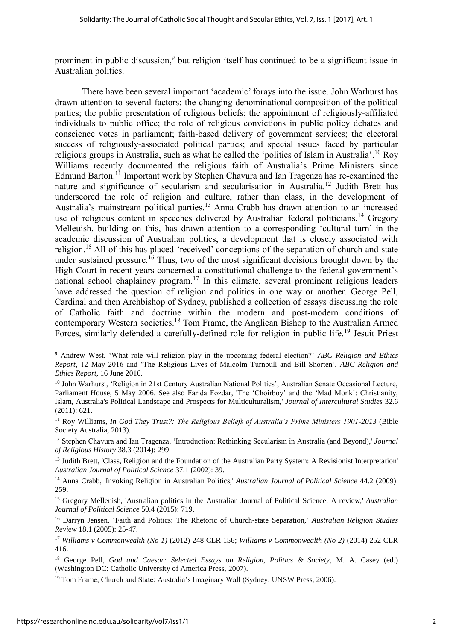prominent in public discussion,<sup>9</sup> but religion itself has continued to be a significant issue in Australian politics.

There have been several important 'academic' forays into the issue. John Warhurst has drawn attention to several factors: the changing denominational composition of the political parties; the public presentation of religious beliefs; the appointment of religiously-affiliated individuals to public office; the role of religious convictions in public policy debates and conscience votes in parliament; faith-based delivery of government services; the electoral success of religiously-associated political parties; and special issues faced by particular religious groups in Australia, such as what he called the 'politics of Islam in Australia'.<sup>10</sup> Roy Williams recently documented the religious faith of Australia's Prime Ministers since Edmund Barton.<sup>11</sup> Important work by Stephen Chavura and Ian Tragenza has re-examined the nature and significance of secularism and secularisation in Australia.<sup>12</sup> Judith Brett has underscored the role of religion and culture, rather than class, in the development of Australia's mainstream political parties.<sup>13</sup> Anna Crabb has drawn attention to an increased use of religious content in speeches delivered by Australian federal politicians.<sup>14</sup> Gregory Melleuish, building on this, has drawn attention to a corresponding 'cultural turn' in the academic discussion of Australian politics, a development that is closely associated with religion.<sup>15</sup> All of this has placed 'received' conceptions of the separation of church and state under sustained pressure.<sup>16</sup> Thus, two of the most significant decisions brought down by the High Court in recent years concerned a constitutional challenge to the federal government's national school chaplaincy program.<sup>17</sup> In this climate, several prominent religious leaders have addressed the question of religion and politics in one way or another. George Pell, Cardinal and then Archbishop of Sydney, published a collection of essays discussing the role of Catholic faith and doctrine within the modern and post-modern conditions of contemporary Western societies.<sup>18</sup> Tom Frame, the Anglican Bishop to the Australian Armed Forces, similarly defended a carefully-defined role for religion in public life.<sup>19</sup> Jesuit Priest

<sup>14</sup> Anna Crabb, 'Invoking Religion in Australian Politics,' *Australian Journal of Political Science* 44.2 (2009): 259.

<sup>15</sup> Gregory Melleuish, 'Australian politics in the Australian Journal of Political Science: A review,' *Australian Journal of Political Science* 50.4 (2015): 719.

<sup>16</sup> Darryn Jensen, 'Faith and Politics: The Rhetoric of Church-state Separation,' *Australian Religion Studies Review* 18.1 (2005): 25-47.

<sup>17</sup> *Williams v Commonwealth (No 1)* (2012) 248 CLR 156; *Williams v Commonwealth (No 2)* (2014) 252 CLR 416.

<sup>18</sup> George Pell, *God and Caesar: Selected Essays on Religion, Politics & Society,* M. A. Casey (ed.) (Washington DC: Catholic University of America Press, 2007).

<sup>19</sup> Tom Frame, Church and State: Australia's Imaginary Wall (Sydney: UNSW Press, 2006).

<sup>9</sup> Andrew West, 'What role will religion play in the upcoming federal election?' *ABC Religion and Ethics Report*, 12 May 2016 and 'The Religious Lives of Malcolm Turnbull and Bill Shorten', *ABC Religion and Ethics Report*, 16 June 2016.

<sup>&</sup>lt;sup>10</sup> John Warhurst, 'Religion in 21st Century Australian National Politics', Australian Senate Occasional Lecture, Parliament House, 5 May 2006. See also Farida Fozdar, 'The 'Choirboy' and the 'Mad Monk': Christianity, Islam, Australia's Political Landscape and Prospects for Multiculturalism,' *Journal of Intercultural Studies* 32.6 (2011): 621.

<sup>11</sup> Roy Williams, *In God They Trust?: The Religious Beliefs of Australia's Prime Ministers 1901-2013* (Bible Society Australia, 2013).

<sup>12</sup> Stephen Chavura and Ian Tragenza, 'Introduction: Rethinking Secularism in Australia (and Beyond),' *Journal of Religious History* 38.3 (2014): 299.

<sup>&</sup>lt;sup>13</sup> Judith Brett, 'Class, Religion and the Foundation of the Australian Party System: A Revisionist Interpretation' *Australian Journal of Political Science* 37.1 (2002): 39.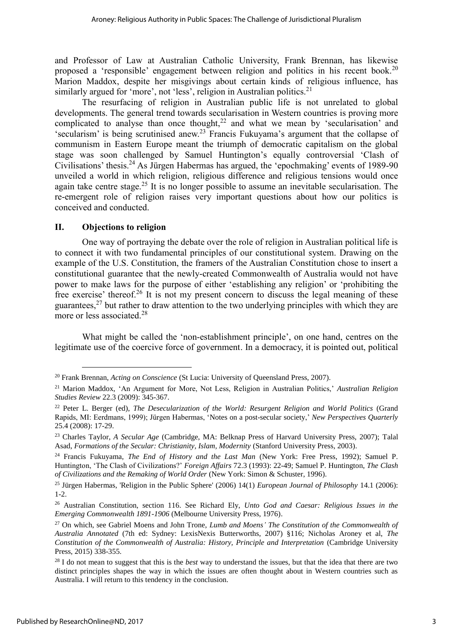and Professor of Law at Australian Catholic University, Frank Brennan, has likewise proposed a 'responsible' engagement between religion and politics in his recent book.<sup>20</sup> Marion Maddox, despite her misgivings about certain kinds of religious influence, has similarly argued for 'more', not 'less', religion in Australian politics.<sup>21</sup>

The resurfacing of religion in Australian public life is not unrelated to global developments. The general trend towards secularisation in Western countries is proving more complicated to analyse than once thought, $22$  and what we mean by 'secularisation' and 'secularism' is being scrutinised anew.<sup>23</sup> Francis Fukuyama's argument that the collapse of communism in Eastern Europe meant the triumph of democratic capitalism on the global stage was soon challenged by Samuel Huntington's equally controversial 'Clash of Civilisations' thesis. <sup>24</sup> As Jürgen Habermas has argued, the 'epochmaking' events of 1989-90 unveiled a world in which religion, religious difference and religious tensions would once again take centre stage.<sup>25</sup> It is no longer possible to assume an inevitable secularisation. The re-emergent role of religion raises very important questions about how our politics is conceived and conducted.

#### II. Objections to religion

One way of portraying the debate over the role of religion in Australian political life is to connect it with two fundamental principles of our constitutional system. Drawing on the example of the U.S. Constitution, the framers of the Australian Constitution chose to insert a constitutional guarantee that the newly-created Commonwealth of Australia would not have power to make laws for the purpose of either 'establishing any religion' or 'prohibiting the free exercise' thereof.<sup>26</sup> It is not my present concern to discuss the legal meaning of these guarantees,  $27$  but rather to draw attention to the two underlying principles with which they are more or less associated.<sup>28</sup>

What might be called the 'non-establishment principle', on one hand, centres on the legitimate use of the coercive force of government. In a democracy, it is pointed out, political

<sup>20</sup> Frank Brennan, *Acting on Conscience* (St Lucia: University of Queensland Press, 2007).

<sup>21</sup> Marion Maddox, 'An Argument for More, Not Less, Religion in Australian Politics,' *Australian Religion Studies Review* 22.3 (2009): 345-367.

<sup>22</sup> Peter L. Berger (ed), *The Desecularization of the World: Resurgent Religion and World Politics* (Grand Rapids, MI: Eerdmans, 1999); Jürgen Habermas, 'Notes on a post-secular society,' *New Perspectives Quarterly* 25.4 (2008): 17-29.

<sup>23</sup> Charles Taylor, *A Secular Age* (Cambridge, MA: Belknap Press of Harvard University Press, 2007); Talal Asad, *Formations of the Secular: Christianity, Islam, Modernity* (Stanford University Press, 2003).

<sup>24</sup> Francis Fukuyama, *The End of History and the Last Man* (New York: Free Press, 1992); Samuel P. Huntington, 'The Clash of Civilizations?' *Foreign Affairs* 72.3 (1993): 22-49; Samuel P. Huntington, *The Clash of Civilizations and the Remaking of World Order* (New York: Simon & Schuster, 1996).

<sup>25</sup> Jürgen Habermas, 'Religion in the Public Sphere' (2006) 14(1) *European Journal of Philosophy* 14.1 (2006): 1-2.

<sup>26</sup> Australian Constitution, section 116. See Richard Ely, *Unto God and Caesar: Religious Issues in the Emerging Commonwealth 1891-1906* (Melbourne University Press, 1976).

<sup>27</sup> On which, see Gabriel Moens and John Trone, *Lumb and Moens' The Constitution of the Commonwealth of Australia Annotated* (7th ed: Sydney: LexisNexis Butterworths, 2007) §116; Nicholas Aroney et al, *The Constitution of the Commonwealth of Australia: History, Principle and Interpretation* (Cambridge University Press, 2015) 338-355.

<sup>28</sup> I do not mean to suggest that this is the *best* way to understand the issues, but that the idea that there are two distinct principles shapes the way in which the issues are often thought about in Western countries such as Australia. I will return to this tendency in the conclusion.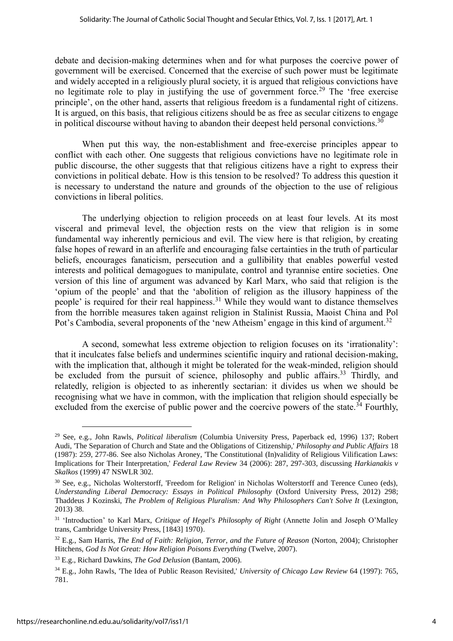debate and decision-making determines when and for what purposes the coercive power of government will be exercised. Concerned that the exercise of such power must be legitimate and widely accepted in a religiously plural society, it is argued that religious convictions have no legitimate role to play in justifying the use of government force.<sup>29</sup> The 'free exercise principle', on the other hand, asserts that religious freedom is a fundamental right of citizens. It is argued, on this basis, that religious citizens should be as free as secular citizens to engage in political discourse without having to abandon their deepest held personal convictions.<sup>30</sup>

When put this way, the non-establishment and free-exercise principles appear to conflict with each other. One suggests that religious convictions have no legitimate role in public discourse, the other suggests that that religious citizens have a right to express their convictions in political debate. How is this tension to be resolved? To address this question it is necessary to understand the nature and grounds of the objection to the use of religious convictions in liberal politics.

The underlying objection to religion proceeds on at least four levels. At its most visceral and primeval level, the objection rests on the view that religion is in some fundamental way inherently pernicious and evil. The view here is that religion, by creating false hopes of reward in an afterlife and encouraging false certainties in the truth of particular beliefs, encourages fanaticism, persecution and a gullibility that enables powerful vested interests and political demagogues to manipulate, control and tyrannise entire societies. One version of this line of argument was advanced by Karl Marx, who said that religion is the 'opium of the people' and that the 'abolition of religion as the illusory happiness of the people' is required for their real happiness.<sup>31</sup> While they would want to distance themselves from the horrible measures taken against religion in Stalinist Russia, Maoist China and Pol Pot's Cambodia, several proponents of the 'new Atheism' engage in this kind of argument.<sup>32</sup>

A second, somewhat less extreme objection to religion focuses on its 'irrationality': that it inculcates false beliefs and undermines scientific inquiry and rational decision-making, with the implication that, although it might be tolerated for the weak-minded, religion should be excluded from the pursuit of science, philosophy and public affairs.<sup>33</sup> Thirdly, and relatedly, religion is objected to as inherently sectarian: it divides us when we should be recognising what we have in common, with the implication that religion should especially be excluded from the exercise of public power and the coercive powers of the state.<sup>34</sup> Fourthly,

<sup>29</sup> See, e.g., John Rawls, *Political liberalism* (Columbia University Press, Paperback ed, 1996) 137; Robert Audi, 'The Separation of Church and State and the Obligations of Citizenship,' *Philosophy and Public Affairs* 18 (1987): 259, 277-86. See also Nicholas Aroney, 'The Constitutional (In)validity of Religious Vilification Laws: Implications for Their Interpretation,' *Federal Law Review* 34 (2006): 287, 297-303, discussing *Harkianakis v Skalkos* (1999) 47 NSWLR 302.

<sup>30</sup> See, e.g., Nicholas Wolterstorff, 'Freedom for Religion' in Nicholas Wolterstorff and Terence Cuneo (eds), *Understanding Liberal Democracy: Essays in Political Philosophy* (Oxford University Press, 2012) 298; Thaddeus J Kozinski, *The Problem of Religious Pluralism: And Why Philosophers Can't Solve It* (Lexington, 2013) 38.

<sup>31</sup> 'Introduction' to Karl Marx, *Critique of Hegel's Philosophy of Right* (Annette Jolin and Joseph O'Malley trans, Cambridge University Press, [1843] 1970).

<sup>32</sup> E.g., Sam Harris, *The End of Faith: Religion, Terror, and the Future of Reason* (Norton, 2004); Christopher Hitchens, *God Is Not Great: How Religion Poisons Everything* (Twelve, 2007).

<sup>33</sup> E.g., Richard Dawkins, *The God Delusion* (Bantam, 2006).

<sup>34</sup> E.g., John Rawls, 'The Idea of Public Reason Revisited,' *University of Chicago Law Review* 64 (1997): 765, 781.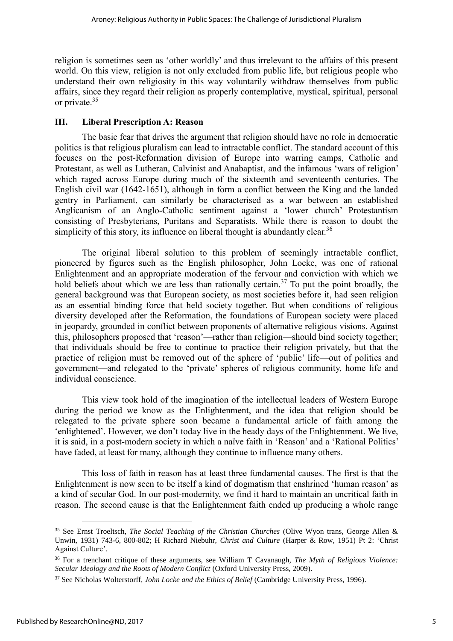religion is sometimes seen as 'other worldly' and thus irrelevant to the affairs of this present world. On this view, religion is not only excluded from public life, but religious people who understand their own religiosity in this way voluntarily withdraw themselves from public affairs, since they regard their religion as properly contemplative, mystical, spiritual, personal or private.<sup>35</sup>

#### III. Liberal Prescription A: Reason

The basic fear that drives the argument that religion should have no role in democratic politics is that religious pluralism can lead to intractable conflict. The standard account of this focuses on the post-Reformation division of Europe into warring camps, Catholic and Protestant, as well as Lutheran, Calvinist and Anabaptist, and the infamous 'wars of religion' which raged across Europe during much of the sixteenth and seventeenth centuries. The English civil war (1642-1651), although in form a conflict between the King and the landed gentry in Parliament, can similarly be characterised as a war between an established Anglicanism of an Anglo-Catholic sentiment against a 'lower church' Protestantism consisting of Presbyterians, Puritans and Separatists. While there is reason to doubt the simplicity of this story, its influence on liberal thought is abundantly clear.<sup>36</sup>

The original liberal solution to this problem of seemingly intractable conflict, pioneered by figures such as the English philosopher, John Locke, was one of rational Enlightenment and an appropriate moderation of the fervour and conviction with which we hold beliefs about which we are less than rationally certain.<sup>37</sup> To put the point broadly, the general background was that European society, as most societies before it, had seen religion as an essential binding force that held society together. But when conditions of religious diversity developed after the Reformation, the foundations of European society were placed in jeopardy, grounded in conflict between proponents of alternative religious visions. Against this, philosophers proposed that 'reason'—rather than religion—should bind society together; that individuals should be free to continue to practice their religion privately, but that the practice of religion must be removed out of the sphere of 'public' life—out of politics and government—and relegated to the 'private' spheres of religious community, home life and individual conscience.

This view took hold of the imagination of the intellectual leaders of Western Europe during the period we know as the Enlightenment, and the idea that religion should be relegated to the private sphere soon became a fundamental article of faith among the 'enlightened'. However, we don't today live in the heady days of the Enlightenment. We live, it is said, in a post-modern society in which a naïve faith in 'Reason' and a 'Rational Politics' have faded, at least for many, although they continue to influence many others.

This loss of faith in reason has at least three fundamental causes. The first is that the Enlightenment is now seen to be itself a kind of dogmatism that enshrined 'human reason' as a kind of secular God. In our post-modernity, we find it hard to maintain an uncritical faith in reason. The second cause is that the Enlightenment faith ended up producing a whole range

<sup>35</sup> See Ernst Troeltsch, *The Social Teaching of the Christian Churches* (Olive Wyon trans, George Allen & Unwin, 1931) 743-6, 800-802; H Richard Niebuhr, *Christ and Culture* (Harper & Row, 1951) Pt 2: 'Christ Against Culture'.

<sup>36</sup> For a trenchant critique of these arguments, see William T Cavanaugh, *The Myth of Religious Violence: Secular Ideology and the Roots of Modern Conflict* (Oxford University Press, 2009).

<sup>37</sup> See Nicholas Wolterstorff, *John Locke and the Ethics of Belief* (Cambridge University Press, 1996).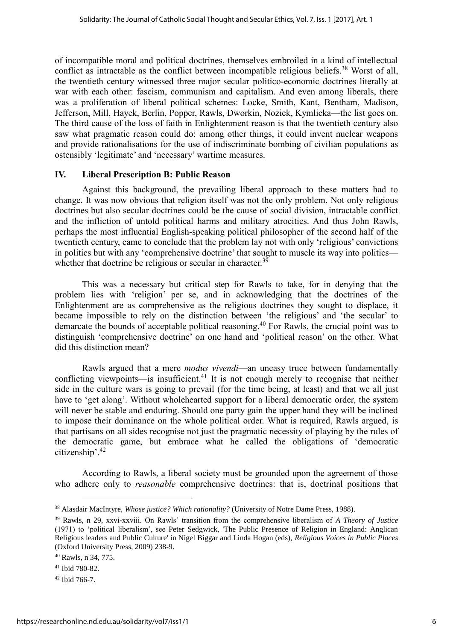of incompatible moral and political doctrines, themselves embroiled in a kind of intellectual conflict as intractable as the conflict between incompatible religious beliefs.<sup>38</sup> Worst of all, the twentieth century witnessed three major secular politico-economic doctrines literally at war with each other: fascism, communism and capitalism. And even among liberals, there was a proliferation of liberal political schemes: Locke, Smith, Kant, Bentham, Madison, Jefferson, Mill, Hayek, Berlin, Popper, Rawls, Dworkin, Nozick, Kymlicka—the list goes on. The third cause of the loss of faith in Enlightenment reason is that the twentieth century also saw what pragmatic reason could do: among other things, it could invent nuclear weapons and provide rationalisations for the use of indiscriminate bombing of civilian populations as ostensibly 'legitimate' and 'necessary' wartime measures.

#### IV. Liberal Prescription B: Public Reason

Against this background, the prevailing liberal approach to these matters had to change. It was now obvious that religion itself was not the only problem. Not only religious doctrines but also secular doctrines could be the cause of social division, intractable conflict and the infliction of untold political harms and military atrocities. And thus John Rawls, perhaps the most influential English-speaking political philosopher of the second half of the twentieth century, came to conclude that the problem lay not with only 'religious' convictions in politics but with any 'comprehensive doctrine' that sought to muscle its way into politics whether that doctrine be religious or secular in character.<sup>39</sup>

This was a necessary but critical step for Rawls to take, for in denying that the problem lies with 'religion' per se, and in acknowledging that the doctrines of the Enlightenment are as comprehensive as the religious doctrines they sought to displace, it became impossible to rely on the distinction between 'the religious' and 'the secular' to demarcate the bounds of acceptable political reasoning.<sup>40</sup> For Rawls, the crucial point was to distinguish 'comprehensive doctrine' on one hand and 'political reason' on the other. What did this distinction mean?

Rawls argued that a mere *modus vivendi*—an uneasy truce between fundamentally conflicting viewpoints—is insufficient.<sup>41</sup> It is not enough merely to recognise that neither side in the culture wars is going to prevail (for the time being, at least) and that we all just have to 'get along'. Without wholehearted support for a liberal democratic order, the system will never be stable and enduring. Should one party gain the upper hand they will be inclined to impose their dominance on the whole political order. What is required, Rawls argued, is that partisans on all sides recognise not just the pragmatic necessity of playing by the rules of the democratic game, but embrace what he called the obligations of 'democratic citizenship'.<sup>42</sup>

According to Rawls, a liberal society must be grounded upon the agreement of those who adhere only to *reasonable* comprehensive doctrines: that is, doctrinal positions that

<sup>38</sup> Alasdair MacIntyre, *Whose justice? Which rationality?* (University of Notre Dame Press, 1988).

<sup>39</sup> Rawls, n 29, xxvi-xxviii. On Rawls' transition from the comprehensive liberalism of *A Theory of Justice* (1971) to 'political liberalism', see Peter Sedgwick, 'The Public Presence of Religion in England: Anglican Religious leaders and Public Culture' in Nigel Biggar and Linda Hogan (eds), *Religious Voices in Public Places* (Oxford University Press, 2009) 238-9.

<sup>40</sup> Rawls, n 34, 775.

<sup>41</sup> Ibid 780-82.

<sup>42</sup> Ibid 766-7.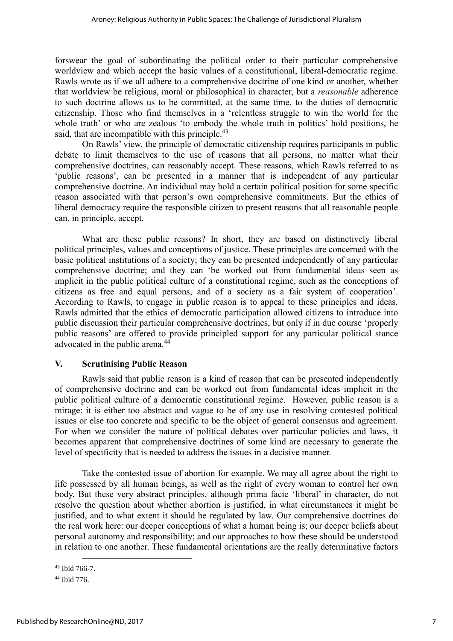forswear the goal of subordinating the political order to their particular comprehensive worldview and which accept the basic values of a constitutional, liberal-democratic regime. Rawls wrote as if we all adhere to a comprehensive doctrine of one kind or another, whether that worldview be religious, moral or philosophical in character, but a *reasonable* adherence to such doctrine allows us to be committed, at the same time, to the duties of democratic citizenship. Those who find themselves in a 'relentless struggle to win the world for the whole truth' or who are zealous 'to embody the whole truth in politics' hold positions, he said, that are incompatible with this principle.<sup>43</sup>

On Rawls' view, the principle of democratic citizenship requires participants in public debate to limit themselves to the use of reasons that all persons, no matter what their comprehensive doctrines, can reasonably accept. These reasons, which Rawls referred to as 'public reasons', can be presented in a manner that is independent of any particular comprehensive doctrine. An individual may hold a certain political position for some specific reason associated with that person's own comprehensive commitments. But the ethics of liberal democracy require the responsible citizen to present reasons that all reasonable people can, in principle, accept.

What are these public reasons? In short, they are based on distinctively liberal political principles, values and conceptions of justice. These principles are concerned with the basic political institutions of a society; they can be presented independently of any particular comprehensive doctrine; and they can 'be worked out from fundamental ideas seen as implicit in the public political culture of a constitutional regime, such as the conceptions of citizens as free and equal persons, and of a society as a fair system of cooperation'. According to Rawls, to engage in public reason is to appeal to these principles and ideas. Rawls admitted that the ethics of democratic participation allowed citizens to introduce into public discussion their particular comprehensive doctrines, but only if in due course 'properly public reasons' are offered to provide principled support for any particular political stance advocated in the public arena.<sup>44</sup>

#### V. Scrutinising Public Reason

Rawls said that public reason is a kind of reason that can be presented independently of comprehensive doctrine and can be worked out from fundamental ideas implicit in the public political culture of a democratic constitutional regime. However, public reason is a mirage: it is either too abstract and vague to be of any use in resolving contested political issues or else too concrete and specific to be the object of general consensus and agreement. For when we consider the nature of political debates over particular policies and laws, it becomes apparent that comprehensive doctrines of some kind are necessary to generate the level of specificity that is needed to address the issues in a decisive manner.

Take the contested issue of abortion for example. We may all agree about the right to life possessed by all human beings, as well as the right of every woman to control her own body. But these very abstract principles, although prima facie 'liberal' in character, do not resolve the question about whether abortion is justified, in what circumstances it might be justified, and to what extent it should be regulated by law. Our comprehensive doctrines do the real work here: our deeper conceptions of what a human being is; our deeper beliefs about personal autonomy and responsibility; and our approaches to how these should be understood in relation to one another. These fundamental orientations are the really determinative factors

<sup>43</sup> Ibid 766-7.

<sup>44</sup> Ibid 776.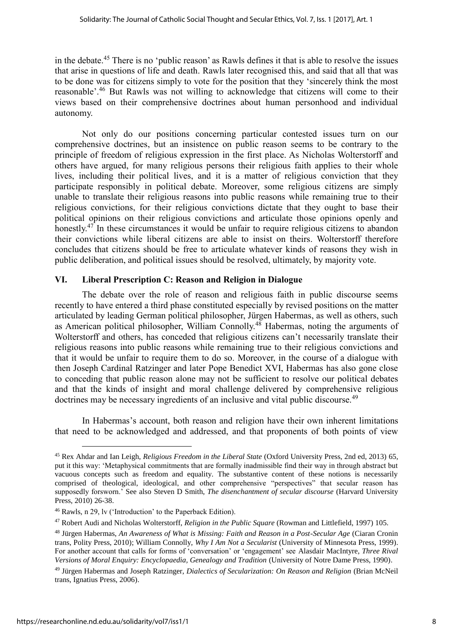in the debate.<sup>45</sup> There is no 'public reason' as Rawls defines it that is able to resolve the issues that arise in questions of life and death. Rawls later recognised this, and said that all that was to be done was for citizens simply to vote for the position that they 'sincerely think the most reasonable'.<sup>46</sup> But Rawls was not willing to acknowledge that citizens will come to their views based on their comprehensive doctrines about human personhood and individual autonomy.

Not only do our positions concerning particular contested issues turn on our comprehensive doctrines, but an insistence on public reason seems to be contrary to the principle of freedom of religious expression in the first place. As Nicholas Wolterstorff and others have argued, for many religious persons their religious faith applies to their whole lives, including their political lives, and it is a matter of religious conviction that they participate responsibly in political debate. Moreover, some religious citizens are simply unable to translate their religious reasons into public reasons while remaining true to their religious convictions, for their religious convictions dictate that they ought to base their political opinions on their religious convictions and articulate those opinions openly and honestly.<sup>47</sup> In these circumstances it would be unfair to require religious citizens to abandon their convictions while liberal citizens are able to insist on theirs. Wolterstorff therefore concludes that citizens should be free to articulate whatever kinds of reasons they wish in public deliberation, and political issues should be resolved, ultimately, by majority vote.

#### VI. Liberal Prescription C: Reason and Religion in Dialogue

The debate over the role of reason and religious faith in public discourse seems recently to have entered a third phase constituted especially by revised positions on the matter articulated by leading German political philosopher, Jürgen Habermas, as well as others, such as American political philosopher, William Connolly.<sup>48</sup> Habermas, noting the arguments of Wolterstorff and others, has conceded that religious citizens can't necessarily translate their religious reasons into public reasons while remaining true to their religious convictions and that it would be unfair to require them to do so. Moreover, in the course of a dialogue with then Joseph Cardinal Ratzinger and later Pope Benedict XVI, Habermas has also gone close to conceding that public reason alone may not be sufficient to resolve our political debates and that the kinds of insight and moral challenge delivered by comprehensive religious doctrines may be necessary ingredients of an inclusive and vital public discourse.<sup>49</sup>

In Habermas's account, both reason and religion have their own inherent limitations that need to be acknowledged and addressed, and that proponents of both points of view

<u>.</u>

<sup>45</sup> Rex Ahdar and Ian Leigh, *Religious Freedom in the Liberal State* (Oxford University Press, 2nd ed, 2013) 65, put it this way: 'Metaphysical commitments that are formally inadmissible find their way in through abstract but vacuous concepts such as freedom and equality. The substantive content of these notions is necessarily comprised of theological, ideological, and other comprehensive "perspectives" that secular reason has supposedly forsworn.' See also Steven D Smith, *The disenchantment of secular discourse* (Harvard University Press, 2010) 26-38.

<sup>46</sup> Rawls, n 29, lv ('Introduction' to the Paperback Edition).

<sup>47</sup> Robert Audi and Nicholas Wolterstorff, *Religion in the Public Square* (Rowman and Littlefield, 1997) 105.

<sup>48</sup> Jürgen Habermas, *An Awareness of What is Missing: Faith and Reason in a Post-Secular Age* (Ciaran Cronin trans, Polity Press, 2010); William Connolly, *Why I Am Not a Secularist* (University of Minnesota Press, 1999). For another account that calls for forms of 'conversation' or 'engagement' see Alasdair MacIntyre, *Three Rival Versions of Moral Enquiry: Encyclopaedia, Genealogy and Tradition* (University of Notre Dame Press, 1990).

<sup>49</sup> Jürgen Habermas and Joseph Ratzinger, *Dialectics of Secularization: On Reason and Religion* (Brian McNeil trans, Ignatius Press, 2006).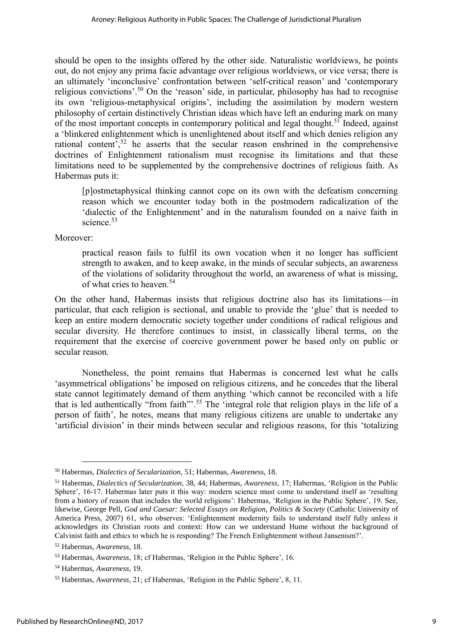should be open to the insights offered by the other side. Naturalistic worldviews, he points out, do not enjoy any prima facie advantage over religious worldviews, or vice versa; there is an ultimately 'inconclusive' confrontation between 'self-critical reason' and 'contemporary religious convictions'.<sup>50</sup> On the 'reason' side, in particular, philosophy has had to recognise its own 'religious-metaphysical origins', including the assimilation by modern western philosophy of certain distinctively Christian ideas which have left an enduring mark on many of the most important concepts in contemporary political and legal thought.<sup>51</sup> Indeed, against a 'blinkered enlightenment which is unenlightened about itself and which denies religion any rational content',<sup>52</sup> he asserts that the secular reason enshrined in the comprehensive doctrines of Enlightenment rationalism must recognise its limitations and that these limitations need to be supplemented by the comprehensive doctrines of religious faith. As Habermas puts it:

[p]ostmetaphysical thinking cannot cope on its own with the defeatism concerning reason which we encounter today both in the postmodern radicalization of the 'dialectic of the Enlightenment' and in the naturalism founded on a naive faith in science.<sup>53</sup>

Moreover:

practical reason fails to fulfil its own vocation when it no longer has sufficient strength to awaken, and to keep awake, in the minds of secular subjects, an awareness of the violations of solidarity throughout the world, an awareness of what is missing, of what cries to heaven.<sup>54</sup>

On the other hand, Habermas insists that religious doctrine also has its limitations—in particular, that each religion is sectional, and unable to provide the 'glue' that is needed to keep an entire modern democratic society together under conditions of radical religious and secular diversity. He therefore continues to insist, in classically liberal terms, on the requirement that the exercise of coercive government power be based only on public or secular reason.

Nonetheless, the point remains that Habermas is concerned lest what he calls 'asymmetrical obligations' be imposed on religious citizens, and he concedes that the liberal state cannot legitimately demand of them anything 'which cannot be reconciled with a life that is led authentically "from faith"'.<sup>55</sup> The 'integral role that religion plays in the life of a person of faith', he notes, means that many religious citizens are unable to undertake any 'artificial division' in their minds between secular and religious reasons, for this 'totalizing

<sup>50</sup> Habermas, *Dialectics of Secularization*, 51; Habermas, *Awareness*, 18.

<sup>51</sup> Habermas, *Dialectics of Secularization*, 38, 44; Habermas, *Awareness*, 17; Habermas, 'Religion in the Public Sphere', 16-17. Habermas later puts it this way: modern science must come to understand itself as 'resulting from a history of reason that includes the world religions': Habermas, 'Religion in the Public Sphere', 19. See, likewise, George Pell, *God and Caesar: Selected Essays on Religion, Politics & Society* (Catholic University of America Press, 2007) 61, who observes: 'Enlightenment modernity fails to understand itself fully unless it acknowledges its Christian roots and context: How can we understand Hume without the background of Calvinist faith and ethics to which he is responding? The French Enlightenment without Jansenism?'.

<sup>52</sup> Habermas, *Awareness*, 18.

<sup>53</sup> Habermas, *Awareness*, 18; cf Habermas, 'Religion in the Public Sphere', 16.

<sup>54</sup> Habermas, *Awareness*, 19.

<sup>55</sup> Habermas, *Awareness*, 21; cf Habermas, 'Religion in the Public Sphere', 8, 11.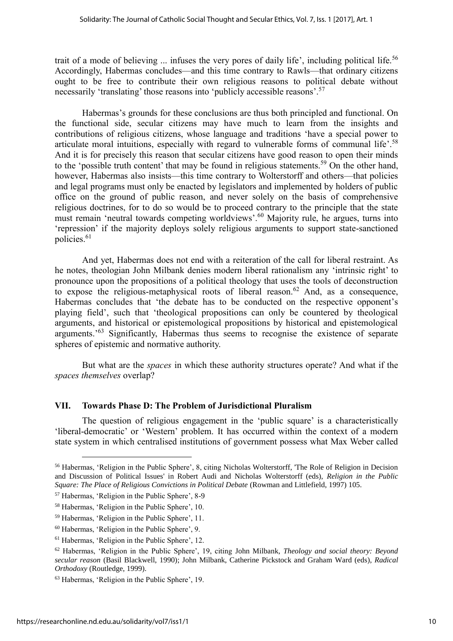trait of a mode of believing ... infuses the very pores of daily life', including political life.<sup>56</sup> Accordingly, Habermas concludes—and this time contrary to Rawls—that ordinary citizens ought to be free to contribute their own religious reasons to political debate without necessarily 'translating' those reasons into 'publicly accessible reasons'.<sup>57</sup>

Habermas's grounds for these conclusions are thus both principled and functional. On the functional side, secular citizens may have much to learn from the insights and contributions of religious citizens, whose language and traditions 'have a special power to articulate moral intuitions, especially with regard to vulnerable forms of communal life'.<sup>58</sup> And it is for precisely this reason that secular citizens have good reason to open their minds to the 'possible truth content' that may be found in religious statements.<sup>59</sup> On the other hand, however, Habermas also insists—this time contrary to Wolterstorff and others—that policies and legal programs must only be enacted by legislators and implemented by holders of public office on the ground of public reason, and never solely on the basis of comprehensive religious doctrines, for to do so would be to proceed contrary to the principle that the state must remain 'neutral towards competing worldviews'.<sup>60</sup> Majority rule, he argues, turns into 'repression' if the majority deploys solely religious arguments to support state-sanctioned policies.<sup>61</sup>

And yet, Habermas does not end with a reiteration of the call for liberal restraint. As he notes, theologian John Milbank denies modern liberal rationalism any 'intrinsic right' to pronounce upon the propositions of a political theology that uses the tools of deconstruction to expose the religious-metaphysical roots of liberal reason.<sup>62</sup> And, as a consequence, Habermas concludes that 'the debate has to be conducted on the respective opponent's playing field', such that 'theological propositions can only be countered by theological arguments, and historical or epistemological propositions by historical and epistemological arguments.<sup>'63</sup> Significantly, Habermas thus seems to recognise the existence of separate spheres of epistemic and normative authority.

But what are the *spaces* in which these authority structures operate? And what if the *spaces themselves* overlap?

#### VII. Towards Phase D: The Problem of Jurisdictional Pluralism

The question of religious engagement in the 'public square' is a characteristically 'liberal-democratic' or 'Western' problem. It has occurred within the context of a modern state system in which centralised institutions of government possess what Max Weber called

<sup>56</sup> Habermas, 'Religion in the Public Sphere', 8, citing Nicholas Wolterstorff, 'The Role of Religion in Decision and Discussion of Political Issues' in Robert Audi and Nicholas Wolterstorff (eds), *Religion in the Public Square: The Place of Religious Convictions in Political Debate* (Rowman and Littlefield, 1997) 105.

<sup>57</sup> Habermas, 'Religion in the Public Sphere', 8-9

<sup>58</sup> Habermas, 'Religion in the Public Sphere', 10.

<sup>59</sup> Habermas, 'Religion in the Public Sphere', 11.

<sup>60</sup> Habermas, 'Religion in the Public Sphere', 9.

<sup>61</sup> Habermas, 'Religion in the Public Sphere', 12.

<sup>62</sup> Habermas, 'Religion in the Public Sphere', 19, citing John Milbank, *Theology and social theory: Beyond secular reason* (Basil Blackwell, 1990); John Milbank, Catherine Pickstock and Graham Ward (eds), *Radical Orthodoxy* (Routledge, 1999).

<sup>63</sup> Habermas, 'Religion in the Public Sphere', 19.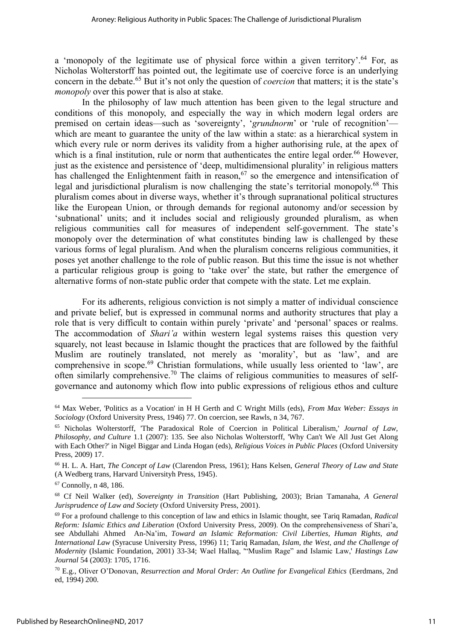a 'monopoly of the legitimate use of physical force within a given territory'.<sup>64</sup> For, as Nicholas Wolterstorff has pointed out, the legitimate use of coercive force is an underlying concern in the debate.<sup>65</sup> But it's not only the question of *coercion* that matters; it is the state's *monopoly* over this power that is also at stake.

In the philosophy of law much attention has been given to the legal structure and conditions of this monopoly, and especially the way in which modern legal orders are premised on certain ideas—such as 'sovereignty', '*grundnorm*' or 'rule of recognition' which are meant to guarantee the unity of the law within a state: as a hierarchical system in which every rule or norm derives its validity from a higher authorising rule, at the apex of which is a final institution, rule or norm that authenticates the entire legal order.<sup>66</sup> However, just as the existence and persistence of 'deep, multidimensional plurality' in religious matters has challenged the Enlightenment faith in reason,  $67$  so the emergence and intensification of legal and jurisdictional pluralism is now challenging the state's territorial monopoly.<sup>68</sup> This pluralism comes about in diverse ways, whether it's through supranational political structures like the European Union, or through demands for regional autonomy and/or secession by 'subnational' units; and it includes social and religiously grounded pluralism, as when religious communities call for measures of independent self-government. The state's monopoly over the determination of what constitutes binding law is challenged by these various forms of legal pluralism. And when the pluralism concerns religious communities, it poses yet another challenge to the role of public reason. But this time the issue is not whether a particular religious group is going to 'take over' the state, but rather the emergence of alternative forms of non-state public order that compete with the state. Let me explain.

For its adherents, religious conviction is not simply a matter of individual conscience and private belief, but is expressed in communal norms and authority structures that play a role that is very difficult to contain within purely 'private' and 'personal' spaces or realms. The accommodation of *Shari'a* within western legal systems raises this question very squarely, not least because in Islamic thought the practices that are followed by the faithful Muslim are routinely translated, not merely as 'morality', but as 'law', and are comprehensive in scope.<sup>69</sup> Christian formulations, while usually less oriented to 'law', are often similarly comprehensive.<sup>70</sup> The claims of religious communities to measures of selfgovernance and autonomy which flow into public expressions of religious ethos and culture

<sup>64</sup> Max Weber, 'Politics as a Vocation' in H H Gerth and C Wright Mills (eds), *From Max Weber: Essays in Sociology* (Oxford University Press, 1946) 77. On coercion, see Rawls, n 34, 767.

<sup>65</sup> Nicholas Wolterstorff, 'The Paradoxical Role of Coercion in Political Liberalism,' *Journal of Law, Philosophy, and Culture* 1.1 (2007): 135. See also Nicholas Wolterstorff, 'Why Can't We All Just Get Along with Each Other?' in Nigel Biggar and Linda Hogan (eds), *Religious Voices in Public Places* (Oxford University Press, 2009) 17.

<sup>66</sup> H. L. A. Hart, *The Concept of Law* (Clarendon Press, 1961); Hans Kelsen, *General Theory of Law and State* (A Wedberg trans, Harvard Universityh Press, 1945).

 $67$  Connolly, n 48, 186.

<sup>68</sup> Cf Neil Walker (ed), *Sovereignty in Transition* (Hart Publishing, 2003); Brian Tamanaha, *A General Jurisprudence of Law and Society* (Oxford University Press, 2001).

<sup>69</sup> For a profound challenge to this conception of law and ethics in Islamic thought, see Tariq Ramadan, *Radical Reform: Islamic Ethics and Liberation* (Oxford University Press, 2009). On the comprehensiveness of Shari'a, see Abdullahi Ahmed An-Na'im, *Toward an Islamic Reformation: Civil Liberties, Human Rights, and International Law* (Syracuse University Press, 1996) 11; Tariq Ramadan, *Islam, the West, and the Challenge of Modernity* (Islamic Foundation, 2001) 33-34; Wael Hallaq, '"Muslim Rage" and Islamic Law,' *Hastings Law Journal* 54 (2003): 1705, 1716.

<sup>70</sup> E.g., Oliver O'Donovan, *Resurrection and Moral Order: An Outline for Evangelical Ethics* (Eerdmans, 2nd ed, 1994) 200.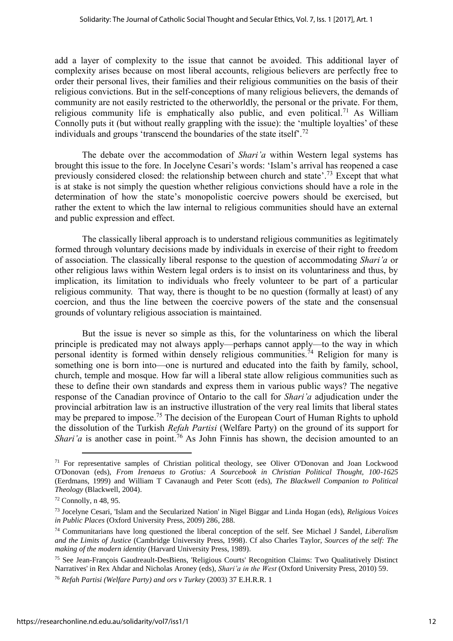add a layer of complexity to the issue that cannot be avoided. This additional layer of complexity arises because on most liberal accounts, religious believers are perfectly free to order their personal lives, their families and their religious communities on the basis of their religious convictions. But in the self-conceptions of many religious believers, the demands of community are not easily restricted to the otherworldly, the personal or the private. For them, religious community life is emphatically also public, and even political.<sup>71</sup> As William Connolly puts it (but without really grappling with the issue): the 'multiple loyalties' of these individuals and groups 'transcend the boundaries of the state itself'.<sup>72</sup>

The debate over the accommodation of *Shari'a* within Western legal systems has brought this issue to the fore. In Jocelyne Cesari's words: 'Islam's arrival has reopened a case previously considered closed: the relationship between church and state'.<sup>73</sup> Except that what is at stake is not simply the question whether religious convictions should have a role in the determination of how the state's monopolistic coercive powers should be exercised, but rather the extent to which the law internal to religious communities should have an external and public expression and effect.

The classically liberal approach is to understand religious communities as legitimately formed through voluntary decisions made by individuals in exercise of their right to freedom of association. The classically liberal response to the question of accommodating *Shari'a* or other religious laws within Western legal orders is to insist on its voluntariness and thus, by implication, its limitation to individuals who freely volunteer to be part of a particular religious community. That way, there is thought to be no question (formally at least) of any coercion, and thus the line between the coercive powers of the state and the consensual grounds of voluntary religious association is maintained.

But the issue is never so simple as this, for the voluntariness on which the liberal principle is predicated may not always apply—perhaps cannot apply—to the way in which personal identity is formed within densely religious communities.<sup> $74$ </sup> Religion for many is something one is born into—one is nurtured and educated into the faith by family, school, church, temple and mosque. How far will a liberal state allow religious communities such as these to define their own standards and express them in various public ways? The negative response of the Canadian province of Ontario to the call for *Shari'a* adjudication under the provincial arbitration law is an instructive illustration of the very real limits that liberal states may be prepared to impose.<sup>75</sup> The decision of the European Court of Human Rights to uphold the dissolution of the Turkish *Refah Partisi* (Welfare Party) on the ground of its support for *Shari'a* is another case in point.<sup>76</sup> As John Finnis has shown, the decision amounted to an

<u>.</u>

<sup>71</sup> For representative samples of Christian political theology, see Oliver O'Donovan and Joan Lockwood O'Donovan (eds), *From Irenaeus to Grotius: A Sourcebook in Christian Political Thought, 100-1625* (Eerdmans, 1999) and William T Cavanaugh and Peter Scott (eds), *The Blackwell Companion to Political Theology* (Blackwell, 2004).

 $72$  Connolly, n 48, 95.

<sup>73</sup> Jocelyne Cesari, 'Islam and the Secularized Nation' in Nigel Biggar and Linda Hogan (eds), *Religious Voices in Public Places* (Oxford University Press, 2009) 286, 288.

<sup>74</sup> Communitarians have long questioned the liberal conception of the self. See Michael J Sandel, *Liberalism and the Limits of Justice* (Cambridge University Press, 1998). Cf also Charles Taylor, *Sources of the self: The making of the modern identity* (Harvard University Press, 1989).

<sup>75</sup> See Jean-François Gaudreault-DesBiens, 'Religious Courts' Recognition Claims: Two Qualitatively Distinct Narratives' in Rex Ahdar and Nicholas Aroney (eds), *Shari'a in the West* (Oxford University Press, 2010) 59.

<sup>76</sup> *Refah Partisi (Welfare Party) and ors v Turkey* (2003) 37 E.H.R.R. 1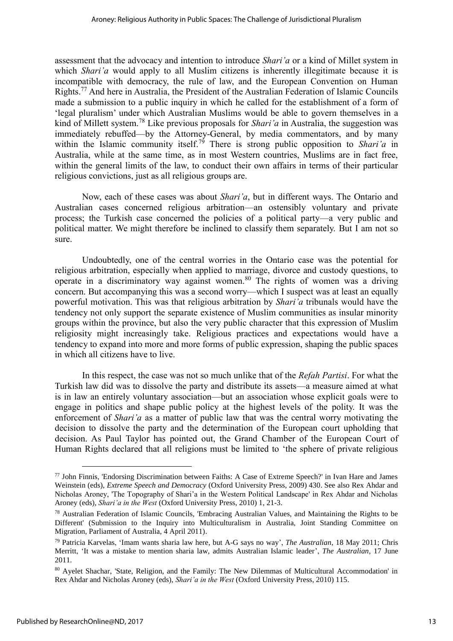assessment that the advocacy and intention to introduce *Shari'a* or a kind of Millet system in which *Shari'a* would apply to all Muslim citizens is inherently illegitimate because it is incompatible with democracy, the rule of law, and the European Convention on Human Rights.<sup>77</sup> And here in Australia, the President of the Australian Federation of Islamic Councils made a submission to a public inquiry in which he called for the establishment of a form of 'legal pluralism' under which Australian Muslims would be able to govern themselves in a kind of Millett system.<sup>78</sup> Like previous proposals for *Shari'a* in Australia, the suggestion was immediately rebuffed—by the Attorney-General, by media commentators, and by many within the Islamic community itself.<sup>79</sup> There is strong public opposition to *Shari'a* in Australia, while at the same time, as in most Western countries, Muslims are in fact free, within the general limits of the law, to conduct their own affairs in terms of their particular religious convictions, just as all religious groups are.

Now, each of these cases was about *Shari'a*, but in different ways. The Ontario and Australian cases concerned religious arbitration—an ostensibly voluntary and private process; the Turkish case concerned the policies of a political party—a very public and political matter. We might therefore be inclined to classify them separately. But I am not so sure.

Undoubtedly, one of the central worries in the Ontario case was the potential for religious arbitration, especially when applied to marriage, divorce and custody questions, to operate in a discriminatory way against women.<sup>80</sup> The rights of women was a driving concern. But accompanying this was a second worry—which I suspect was at least an equally powerful motivation. This was that religious arbitration by *Shari'a* tribunals would have the tendency not only support the separate existence of Muslim communities as insular minority groups within the province, but also the very public character that this expression of Muslim religiosity might increasingly take. Religious practices and expectations would have a tendency to expand into more and more forms of public expression, shaping the public spaces in which all citizens have to live.

In this respect, the case was not so much unlike that of the *Refah Partisi*. For what the Turkish law did was to dissolve the party and distribute its assets—a measure aimed at what is in law an entirely voluntary association—but an association whose explicit goals were to engage in politics and shape public policy at the highest levels of the polity. It was the enforcement of *Shari'a* as a matter of public law that was the central worry motivating the decision to dissolve the party and the determination of the European court upholding that decision. As Paul Taylor has pointed out, the Grand Chamber of the European Court of Human Rights declared that all religions must be limited to 'the sphere of private religious

<sup>77</sup> John Finnis, 'Endorsing Discrimination between Faiths: A Case of Extreme Speech?' in Ivan Hare and James Weinstein (eds), *Extreme Speech and Democracy* (Oxford University Press, 2009) 430. See also Rex Ahdar and Nicholas Aroney, 'The Topography of Shari'a in the Western Political Landscape' in Rex Ahdar and Nicholas Aroney (eds), *Shari'a in the West* (Oxford University Press, 2010) 1, 21-3.

<sup>78</sup> Australian Federation of Islamic Councils, 'Embracing Australian Values, and Maintaining the Rights to be Different' (Submission to the Inquiry into Multiculturalism in Australia, Joint Standing Committee on Migration, Parliament of Australia, 4 April 2011).

<sup>79</sup> Patricia Karvelas, 'Imam wants sharia law here, but A-G says no way', *The Australian*, 18 May 2011; Chris Merritt, 'It was a mistake to mention sharia law, admits Australian Islamic leader', *The Australian*, 17 June 2011.

<sup>80</sup> Ayelet Shachar, 'State, Religion, and the Family: The New Dilemmas of Multicultural Accommodation' in Rex Ahdar and Nicholas Aroney (eds), *Shari'a in the West* (Oxford University Press, 2010) 115.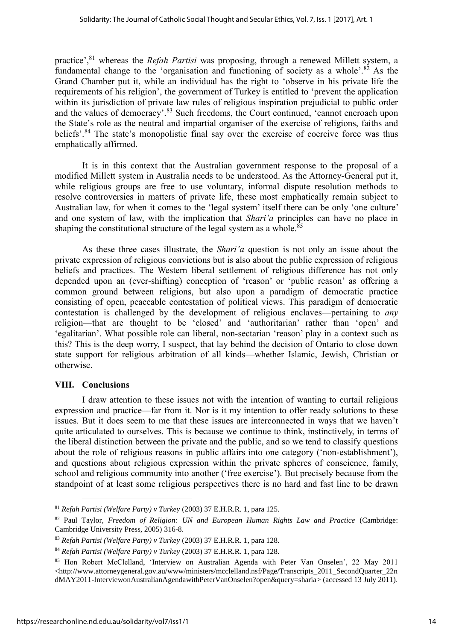practice',<sup>81</sup> whereas the *Refah Partisi* was proposing, through a renewed Millett system, a fundamental change to the 'organisation and functioning of society as a whole'. $82$  As the Grand Chamber put it, while an individual has the right to 'observe in his private life the requirements of his religion', the government of Turkey is entitled to 'prevent the application within its jurisdiction of private law rules of religious inspiration prejudicial to public order and the values of democracy'.<sup>83</sup> Such freedoms, the Court continued, 'cannot encroach upon the State's role as the neutral and impartial organiser of the exercise of religions, faiths and beliefs'.<sup>84</sup> The state's monopolistic final say over the exercise of coercive force was thus emphatically affirmed.

It is in this context that the Australian government response to the proposal of a modified Millett system in Australia needs to be understood. As the Attorney-General put it, while religious groups are free to use voluntary, informal dispute resolution methods to resolve controversies in matters of private life, these most emphatically remain subject to Australian law, for when it comes to the 'legal system' itself there can be only 'one culture' and one system of law, with the implication that *Shari'a* principles can have no place in shaping the constitutional structure of the legal system as a whole.<sup>85</sup>

As these three cases illustrate, the *Shari'a* question is not only an issue about the private expression of religious convictions but is also about the public expression of religious beliefs and practices. The Western liberal settlement of religious difference has not only depended upon an (ever-shifting) conception of 'reason' or 'public reason' as offering a common ground between religions, but also upon a paradigm of democratic practice consisting of open, peaceable contestation of political views. This paradigm of democratic contestation is challenged by the development of religious enclaves—pertaining to *any* religion—that are thought to be 'closed' and 'authoritarian' rather than 'open' and 'egalitarian'. What possible role can liberal, non-sectarian 'reason' play in a context such as this? This is the deep worry, I suspect, that lay behind the decision of Ontario to close down state support for religious arbitration of all kinds—whether Islamic, Jewish, Christian or otherwise.

#### VIII. Conclusions

1

I draw attention to these issues not with the intention of wanting to curtail religious expression and practice—far from it. Nor is it my intention to offer ready solutions to these issues. But it does seem to me that these issues are interconnected in ways that we haven't quite articulated to ourselves. This is because we continue to think, instinctively, in terms of the liberal distinction between the private and the public, and so we tend to classify questions about the role of religious reasons in public affairs into one category ('non-establishment'), and questions about religious expression within the private spheres of conscience, family, school and religious community into another ('free exercise'). But precisely because from the standpoint of at least some religious perspectives there is no hard and fast line to be drawn

<sup>81</sup> *Refah Partisi (Welfare Party) v Turkey* (2003) 37 E.H.R.R. 1, para 125.

<sup>82</sup> Paul Taylor, *Freedom of Religion: UN and European Human Rights Law and Practice* (Cambridge: Cambridge University Press, 2005) 316-8.

<sup>83</sup> *Refah Partisi (Welfare Party) v Turkey* (2003) 37 E.H.R.R. 1, para 128.

<sup>84</sup> *Refah Partisi (Welfare Party) v Turkey* (2003) 37 E.H.R.R. 1, para 128.

<sup>85</sup> Hon Robert McClelland, 'Interview on Australian Agenda with Peter Van Onselen', 22 May 2011 <http://www.attorneygeneral.gov.au/www/ministers/mcclelland.nsf/Page/Transcripts\_2011\_SecondQuarter\_22n dMAY2011-InterviewonAustralianAgendawithPeterVanOnselen?open&query=sharia> (accessed 13 July 2011).